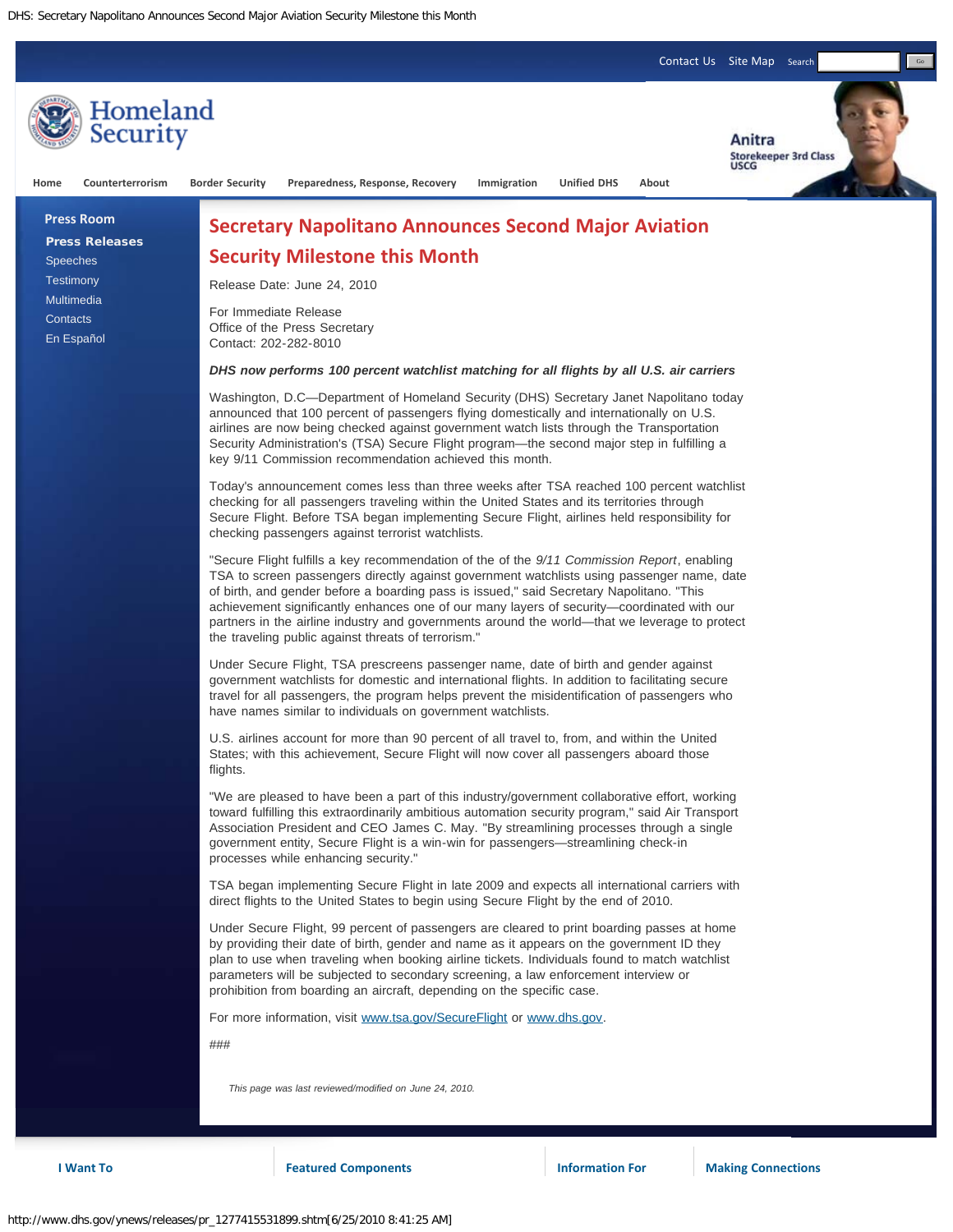[Contact Us](http://www.dhs.gov/xutil/contactus.shtm) [Site Map](http://www.dhs.gov/xutil/sitemap.shtm) Search

Go



**I Want To Featured Components Information For Making Connections**